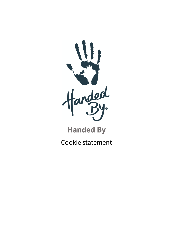

# **Handed By**

Cookie statement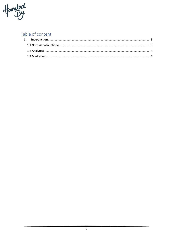

## Table of content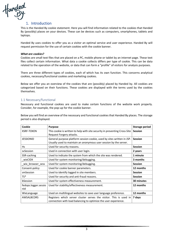

### 1. Introduction

This is the Handed By cookie statement. Here you will find information related to the cookies that Handed By (possibly) places on your devices. These can be devices such as computers, smartphones, tablets and laptops.

Handed By uses cookies to offer you as a visitor an optimal service and user experience. Handed By will request permission for the use of certain cookies with the cookie banner.

#### *What are cookies?*

Cookies are small text files that are placed on a PC, mobile phone or tablet by an internet page. These text files collect certain information. What data a cookie collects differs per type of cookie. This can be data related to the operation of the website, or data that can form a "profile" of visitors for analysis purposes.

There are three different types of cookies, each of which has its own function. This concerns analytical cookies, necessary/functional cookies and marketing cookies.

Below we offer you an overview of the cookies that are (possibly) placed by Handed by. All cookies are categorized based on their functions. These cookies are displayed with the terms used by the cookies themselves.

#### 1.1 Necessary/functional

Necessary and functional cookies are used to make certain functions of the website work properly. Consider, for example, the pop-up for the cookie banner.

Below you will find an overview of the necessary and functional cookies that Handed By places. The storage period is also displayed.

| Cookie                      | <b>Purpose</b>                                                                                                                              | <b>Storage period</b> |
|-----------------------------|---------------------------------------------------------------------------------------------------------------------------------------------|-----------------------|
| <b>XSRF-TOKEN</b>           | This cookie is written to help with site security in preventing Cross-Site<br>Request Forgery attacks.                                      | <b>Session</b>        |
| <b>JESSIONID</b>            | General purpose platform session cookie, used by sites written in JSP.<br>Usually used to maintain an anonymous user session by the server. | <b>Session</b>        |
| Hs                          | Used for security reasons.                                                                                                                  | <b>Session</b>        |
| sySession                   | Used in connection with user login.                                                                                                         | 2 years               |
| SSR-caching                 | Used to indicate the system from which the site was rendered.                                                                               | 1 minute              |
| wixCIDX                     | Used for system monitoring/debugging.                                                                                                       | 3 months              |
| _wix_browser_sess           | Used for system monitoring/debugging.                                                                                                       | <b>Session</b>        |
| Consent-policy              | Used for cookie banner parameters.                                                                                                          | 12 months             |
| smSession                   | Used to identify logged in site members.                                                                                                    | <b>Session</b>        |
| $TS*$                       | Used for security and anti-fraud reasons.                                                                                                   | <b>Session</b>        |
| bSession                    | Used for system effectiveness measurement.                                                                                                  | 30 minutes            |
| fedops.logger.sessio<br>nld | Used for stability/effectiveness measurement.                                                                                               | 12 months             |
| WixLanguage                 | Used on multilingual websites to save user language preference.                                                                             | 12 months             |
| <b>AWSALBCORS</b>           | Registers which server cluster serves the visitor. This is used in<br>connection with load balancing to optimize the user experience.       | 7 days                |